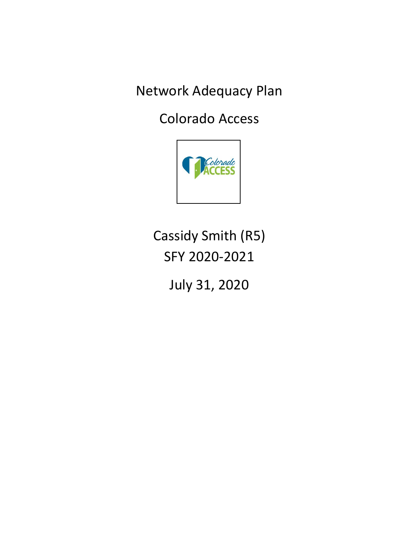Network Adequacy Plan

Colorado Access



Cassidy Smith (R5) SFY 2020-2021

July 31, 2020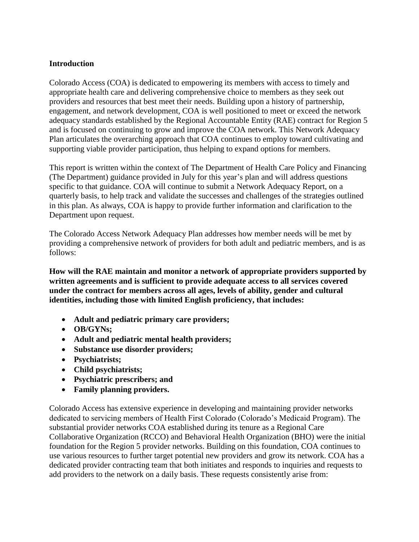#### **Introduction**

Colorado Access (COA) is dedicated to empowering its members with access to timely and appropriate health care and delivering comprehensive choice to members as they seek out providers and resources that best meet their needs. Building upon a history of partnership, engagement, and network development, COA is well positioned to meet or exceed the network adequacy standards established by the Regional Accountable Entity (RAE) contract for Region 5 and is focused on continuing to grow and improve the COA network. This Network Adequacy Plan articulates the overarching approach that COA continues to employ toward cultivating and supporting viable provider participation, thus helping to expand options for members.

This report is written within the context of The Department of Health Care Policy and Financing (The Department) guidance provided in July for this year's plan and will address questions specific to that guidance. COA will continue to submit a Network Adequacy Report, on a quarterly basis, to help track and validate the successes and challenges of the strategies outlined in this plan. As always, COA is happy to provide further information and clarification to the Department upon request.

The Colorado Access Network Adequacy Plan addresses how member needs will be met by providing a comprehensive network of providers for both adult and pediatric members, and is as follows:

**How will the RAE maintain and monitor a network of appropriate providers supported by written agreements and is sufficient to provide adequate access to all services covered under the contract for members across all ages, levels of ability, gender and cultural identities, including those with limited English proficiency, that includes:** 

- **Adult and pediatric primary care providers;**
- **OB/GYNs;**
- **Adult and pediatric mental health providers;**
- **Substance use disorder providers;**
- **Psychiatrists;**
- **Child psychiatrists;**
- **Psychiatric prescribers; and**
- **Family planning providers.**

Colorado Access has extensive experience in developing and maintaining provider networks dedicated to servicing members of Health First Colorado (Colorado's Medicaid Program). The substantial provider networks COA established during its tenure as a Regional Care Collaborative Organization (RCCO) and Behavioral Health Organization (BHO) were the initial foundation for the Region 5 provider networks. Building on this foundation, COA continues to use various resources to further target potential new providers and grow its network. COA has a dedicated provider contracting team that both initiates and responds to inquiries and requests to add providers to the network on a daily basis. These requests consistently arise from: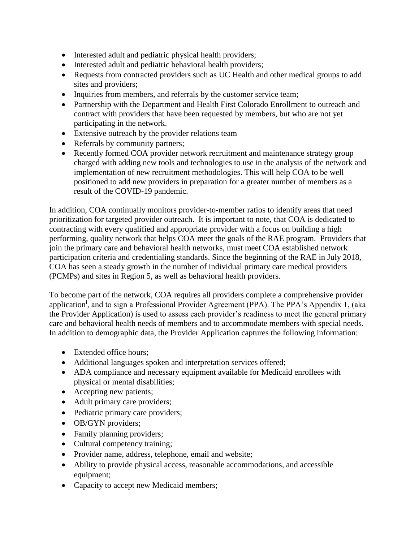- Interested adult and pediatric physical health providers;
- Interested adult and pediatric behavioral health providers;
- Requests from contracted providers such as UC Health and other medical groups to add sites and providers;
- Inquiries from members, and referrals by the customer service team;
- Partnership with the Department and Health First Colorado Enrollment to outreach and contract with providers that have been requested by members, but who are not yet participating in the network.
- Extensive outreach by the provider relations team
- Referrals by community partners;
- Recently formed COA provider network recruitment and maintenance strategy group charged with adding new tools and technologies to use in the analysis of the network and implementation of new recruitment methodologies. This will help COA to be well positioned to add new providers in preparation for a greater number of members as a result of the COVID-19 pandemic.

In addition, COA continually monitors provider-to-member ratios to identify areas that need prioritization for targeted provider outreach. It is important to note, that COA is dedicated to contracting with every qualified and appropriate provider with a focus on building a high performing, quality network that helps COA meet the goals of the RAE program. Providers that join the primary care and behavioral health networks, must meet COA established network participation criteria and credentialing standards. Since the beginning of the RAE in July 2018, COA has seen a steady growth in the number of individual primary care medical providers (PCMPs) and sites in Region 5, as well as behavioral health providers.

To become part of the network, COA requires all providers complete a comprehensive provider application<sup>i</sup>, and to sign a Professional Provider Agreement (PPA). The PPA's Appendix 1, (aka the Provider Application) is used to assess each provider's readiness to meet the general primary care and behavioral health needs of members and to accommodate members with special needs. In addition to demographic data, the Provider Application captures the following information:

- Extended office hours;
- Additional languages spoken and interpretation services offered;
- ADA compliance and necessary equipment available for Medicaid enrollees with physical or mental disabilities;
- Accepting new patients;
- Adult primary care providers;
- Pediatric primary care providers;
- OB/GYN providers;
- Family planning providers;
- Cultural competency training;
- Provider name, address, telephone, email and website;
- Ability to provide physical access, reasonable accommodations, and accessible equipment;
- Capacity to accept new Medicaid members;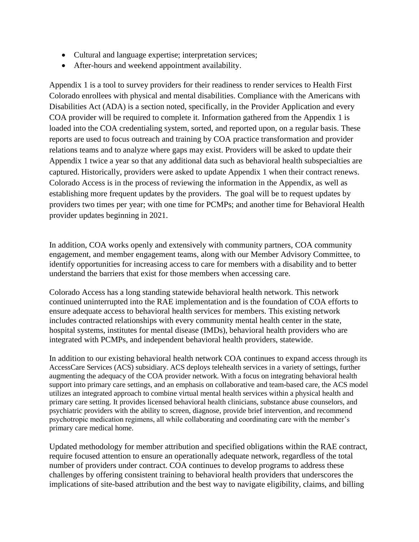- Cultural and language expertise; interpretation services;
- After-hours and weekend appointment availability.

Appendix 1 is a tool to survey providers for their readiness to render services to Health First Colorado enrollees with physical and mental disabilities. Compliance with the Americans with Disabilities Act (ADA) is a section noted, specifically, in the Provider Application and every COA provider will be required to complete it. Information gathered from the Appendix 1 is loaded into the COA credentialing system, sorted, and reported upon, on a regular basis. These reports are used to focus outreach and training by COA practice transformation and provider relations teams and to analyze where gaps may exist. Providers will be asked to update their Appendix 1 twice a year so that any additional data such as behavioral health subspecialties are captured. Historically, providers were asked to update Appendix 1 when their contract renews. Colorado Access is in the process of reviewing the information in the Appendix, as well as establishing more frequent updates by the providers. The goal will be to request updates by providers two times per year; with one time for PCMPs; and another time for Behavioral Health provider updates beginning in 2021.

In addition, COA works openly and extensively with community partners, COA community engagement, and member engagement teams, along with our Member Advisory Committee, to identify opportunities for increasing access to care for members with a disability and to better understand the barriers that exist for those members when accessing care.

Colorado Access has a long standing statewide behavioral health network. This network continued uninterrupted into the RAE implementation and is the foundation of COA efforts to ensure adequate access to behavioral health services for members. This existing network includes contracted relationships with every community mental health center in the state, hospital systems, institutes for mental disease (IMDs), behavioral health providers who are integrated with PCMPs, and independent behavioral health providers, statewide.

In addition to our existing behavioral health network COA continues to expand access through its AccessCare Services (ACS) subsidiary. ACS deploys telehealth services in a variety of settings, further augmenting the adequacy of the COA provider network. With a focus on integrating behavioral health support into primary care settings, and an emphasis on collaborative and team-based care, the ACS model utilizes an integrated approach to combine virtual mental health services within a physical health and primary care setting. It provides licensed behavioral health clinicians, substance abuse counselors, and psychiatric providers with the ability to screen, diagnose, provide brief intervention, and recommend psychotropic medication regimens, all while collaborating and coordinating care with the member's primary care medical home.

Updated methodology for member attribution and specified obligations within the RAE contract, require focused attention to ensure an operationally adequate network, regardless of the total number of providers under contract. COA continues to develop programs to address these challenges by offering consistent training to behavioral health providers that underscores the implications of site-based attribution and the best way to navigate eligibility, claims, and billing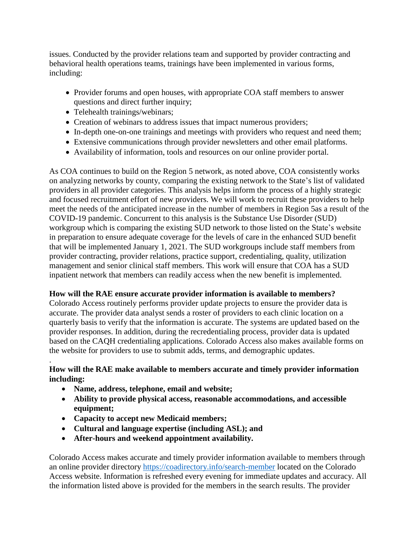issues. Conducted by the provider relations team and supported by provider contracting and behavioral health operations teams, trainings have been implemented in various forms, including:

- Provider forums and open houses, with appropriate COA staff members to answer questions and direct further inquiry;
- Telehealth trainings/webinars;
- Creation of webinars to address issues that impact numerous providers;
- In-depth one-on-one trainings and meetings with providers who request and need them;
- Extensive communications through provider newsletters and other email platforms.
- Availability of information, tools and resources on our online provider portal.

As COA continues to build on the Region 5 network, as noted above, COA consistently works on analyzing networks by county, comparing the existing network to the State's list of validated providers in all provider categories. This analysis helps inform the process of a highly strategic and focused recruitment effort of new providers. We will work to recruit these providers to help meet the needs of the anticipated increase in the number of members in Region 5as a result of the COVID-19 pandemic. Concurrent to this analysis is the Substance Use Disorder (SUD) workgroup which is comparing the existing SUD network to those listed on the State's website in preparation to ensure adequate coverage for the levels of care in the enhanced SUD benefit that will be implemented January 1, 2021. The SUD workgroups include staff members from provider contracting, provider relations, practice support, credentialing, quality, utilization management and senior clinical staff members. This work will ensure that COA has a SUD inpatient network that members can readily access when the new benefit is implemented.

#### **How will the RAE ensure accurate provider information is available to members?**

Colorado Access routinely performs provider update projects to ensure the provider data is accurate. The provider data analyst sends a roster of providers to each clinic location on a quarterly basis to verify that the information is accurate. The systems are updated based on the provider responses. In addition, during the recredentialing process, provider data is updated based on the CAQH credentialing applications. Colorado Access also makes available forms on the website for providers to use to submit adds, terms, and demographic updates.

# **How will the RAE make available to members accurate and timely provider information including:**

• **Name, address, telephone, email and website;** 

.

- **Ability to provide physical access, reasonable accommodations, and accessible equipment;**
- **Capacity to accept new Medicaid members;**
- **Cultural and language expertise (including ASL); and**
- **After-hours and weekend appointment availability.**

Colorado Access makes accurate and timely provider information available to members through an online provider directory<https://coadirectory.info/search-member> located on the Colorado Access website. Information is refreshed every evening for immediate updates and accuracy. All the information listed above is provided for the members in the search results. The provider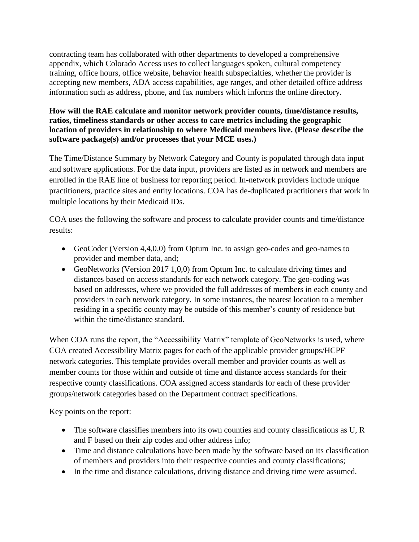contracting team has collaborated with other departments to developed a comprehensive appendix, which Colorado Access uses to collect languages spoken, cultural competency training, office hours, office website, behavior health subspecialties, whether the provider is accepting new members, ADA access capabilities, age ranges, and other detailed office address information such as address, phone, and fax numbers which informs the online directory.

# **How will the RAE calculate and monitor network provider counts, time/distance results, ratios, timeliness standards or other access to care metrics including the geographic location of providers in relationship to where Medicaid members live. (Please describe the software package(s) and/or processes that your MCE uses.)**

The Time/Distance Summary by Network Category and County is populated through data input and software applications. For the data input, providers are listed as in network and members are enrolled in the RAE line of business for reporting period. In-network providers include unique practitioners, practice sites and entity locations. COA has de-duplicated practitioners that work in multiple locations by their Medicaid IDs.

COA uses the following the software and process to calculate provider counts and time/distance results:

- GeoCoder (Version 4,4,0,0) from Optum Inc. to assign geo-codes and geo-names to provider and member data, and;
- GeoNetworks (Version 2017 1,0,0) from Optum Inc. to calculate driving times and distances based on access standards for each network category. The geo-coding was based on addresses, where we provided the full addresses of members in each county and providers in each network category. In some instances, the nearest location to a member residing in a specific county may be outside of this member's county of residence but within the time/distance standard.

When COA runs the report, the "Accessibility Matrix" template of GeoNetworks is used, where COA created Accessibility Matrix pages for each of the applicable provider groups/HCPF network categories. This template provides overall member and provider counts as well as member counts for those within and outside of time and distance access standards for their respective county classifications. COA assigned access standards for each of these provider groups/network categories based on the Department contract specifications.

Key points on the report:

- The software classifies members into its own counties and county classifications as U, R and F based on their zip codes and other address info;
- Time and distance calculations have been made by the software based on its classification of members and providers into their respective counties and county classifications;
- In the time and distance calculations, driving distance and driving time were assumed.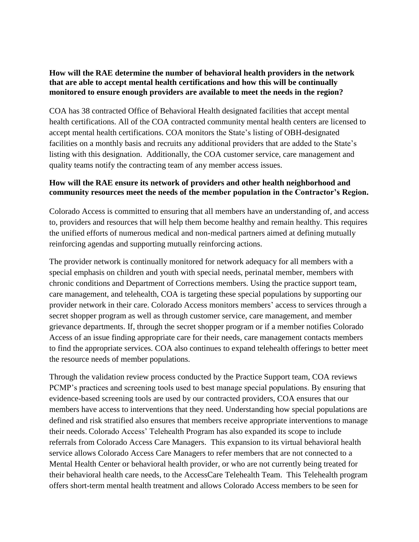# **How will the RAE determine the number of behavioral health providers in the network that are able to accept mental health certifications and how this will be continually monitored to ensure enough providers are available to meet the needs in the region?**

COA has 38 contracted Office of Behavioral Health designated facilities that accept mental health certifications. All of the COA contracted community mental health centers are licensed to accept mental health certifications. COA monitors the State's listing of OBH-designated facilities on a monthly basis and recruits any additional providers that are added to the State's listing with this designation. Additionally, the COA customer service, care management and quality teams notify the contracting team of any member access issues.

# **How will the RAE ensure its network of providers and other health neighborhood and community resources meet the needs of the member population in the Contractor's Region.**

Colorado Access is committed to ensuring that all members have an understanding of, and access to, providers and resources that will help them become healthy and remain healthy. This requires the unified efforts of numerous medical and non-medical partners aimed at defining mutually reinforcing agendas and supporting mutually reinforcing actions.

The provider network is continually monitored for network adequacy for all members with a special emphasis on children and youth with special needs, perinatal member, members with chronic conditions and Department of Corrections members. Using the practice support team, care management, and telehealth, COA is targeting these special populations by supporting our provider network in their care. Colorado Access monitors members' access to services through a secret shopper program as well as through customer service, care management, and member grievance departments. If, through the secret shopper program or if a member notifies Colorado Access of an issue finding appropriate care for their needs, care management contacts members to find the appropriate services. COA also continues to expand telehealth offerings to better meet the resource needs of member populations.

Through the validation review process conducted by the Practice Support team, COA reviews PCMP's practices and screening tools used to best manage special populations. By ensuring that evidence-based screening tools are used by our contracted providers, COA ensures that our members have access to interventions that they need. Understanding how special populations are defined and risk stratified also ensures that members receive appropriate interventions to manage their needs. Colorado Access' Telehealth Program has also expanded its scope to include referrals from Colorado Access Care Managers. This expansion to its virtual behavioral health service allows Colorado Access Care Managers to refer members that are not connected to a Mental Health Center or behavioral health provider, or who are not currently being treated for their behavioral health care needs, to the AccessCare Telehealth Team. This Telehealth program offers short-term mental health treatment and allows Colorado Access members to be seen for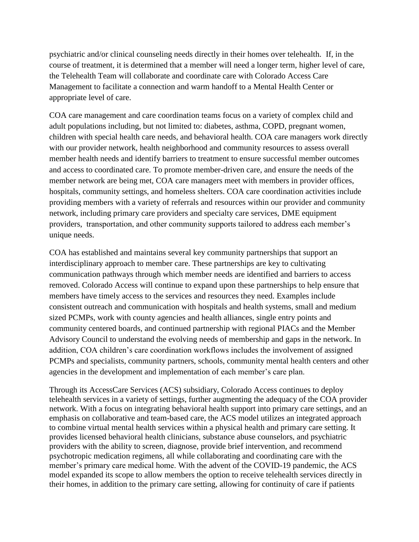psychiatric and/or clinical counseling needs directly in their homes over telehealth. If, in the course of treatment, it is determined that a member will need a longer term, higher level of care, the Telehealth Team will collaborate and coordinate care with Colorado Access Care Management to facilitate a connection and warm handoff to a Mental Health Center or appropriate level of care.

COA care management and care coordination teams focus on a variety of complex child and adult populations including, but not limited to: diabetes, asthma, COPD, pregnant women, children with special health care needs, and behavioral health. COA care managers work directly with our provider network, health neighborhood and community resources to assess overall member health needs and identify barriers to treatment to ensure successful member outcomes and access to coordinated care. To promote member-driven care, and ensure the needs of the member network are being met, COA care managers meet with members in provider offices, hospitals, community settings, and homeless shelters. COA care coordination activities include providing members with a variety of referrals and resources within our provider and community network, including primary care providers and specialty care services, DME equipment providers, transportation, and other community supports tailored to address each member's unique needs.

COA has established and maintains several key community partnerships that support an interdisciplinary approach to member care. These partnerships are key to cultivating communication pathways through which member needs are identified and barriers to access removed. Colorado Access will continue to expand upon these partnerships to help ensure that members have timely access to the services and resources they need. Examples include consistent outreach and communication with hospitals and health systems, small and medium sized PCMPs, work with county agencies and health alliances, single entry points and community centered boards, and continued partnership with regional PIACs and the Member Advisory Council to understand the evolving needs of membership and gaps in the network. In addition, COA children's care coordination workflows includes the involvement of assigned PCMPs and specialists, community partners, schools, community mental health centers and other agencies in the development and implementation of each member's care plan.

Through its AccessCare Services (ACS) subsidiary, Colorado Access continues to deploy telehealth services in a variety of settings, further augmenting the adequacy of the COA provider network. With a focus on integrating behavioral health support into primary care settings, and an emphasis on collaborative and team-based care, the ACS model utilizes an integrated approach to combine virtual mental health services within a physical health and primary care setting. It provides licensed behavioral health clinicians, substance abuse counselors, and psychiatric providers with the ability to screen, diagnose, provide brief intervention, and recommend psychotropic medication regimens, all while collaborating and coordinating care with the member's primary care medical home. With the advent of the COVID-19 pandemic, the ACS model expanded its scope to allow members the option to receive telehealth services directly in their homes, in addition to the primary care setting, allowing for continuity of care if patients